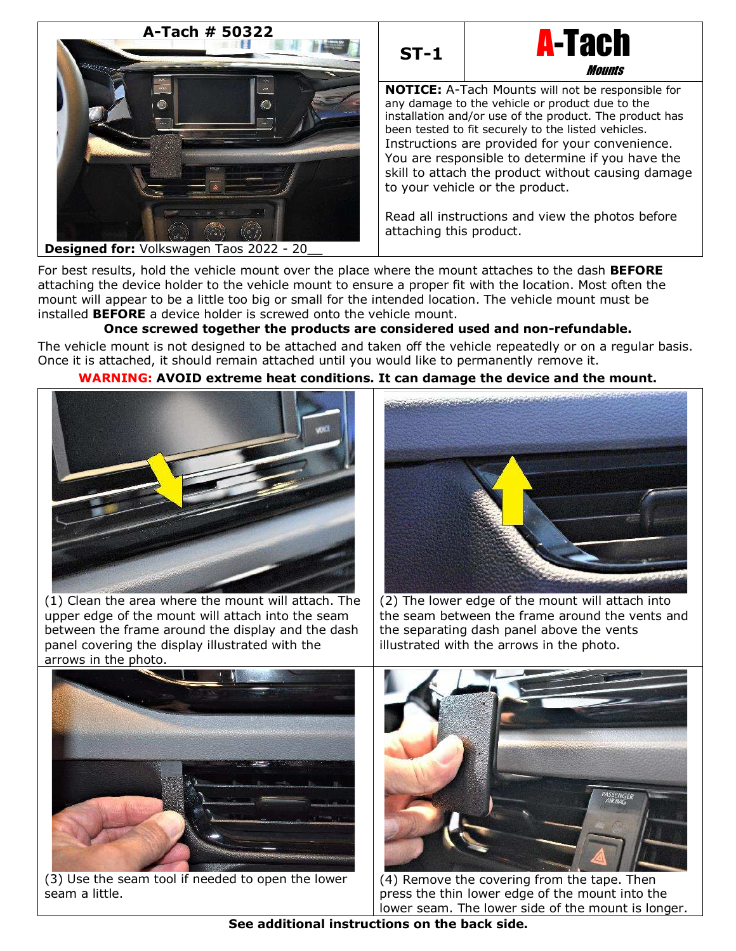





**NOTICE:** A-Tach Mounts will not be responsible for any damage to the vehicle or product due to the installation and/or use of the product. The product has been tested to fit securely to the listed vehicles. Instructions are provided for your convenience. You are responsible to determine if you have the skill to attach the product without causing damage to your vehicle or the product.

Read all instructions and view the photos before attaching this product.

For best results, hold the vehicle mount over the place where the mount attaches to the dash **BEFORE** attaching the device holder to the vehicle mount to ensure a proper fit with the location. Most often the mount will appear to be a little too big or small for the intended location. The vehicle mount must be installed **BEFORE** a device holder is screwed onto the vehicle mount.

# **Once screwed together the products are considered used and non-refundable.**

The vehicle mount is not designed to be attached and taken off the vehicle repeatedly or on a regular basis. Once it is attached, it should remain attached until you would like to permanently remove it.

# **WARNING: AVOID extreme heat conditions. It can damage the device and the mount.**



(1) Clean the area where the mount will attach. The upper edge of the mount will attach into the seam between the frame around the display and the dash panel covering the display illustrated with the arrows in the photo.



(2) The lower edge of the mount will attach into the seam between the frame around the vents and the separating dash panel above the vents illustrated with the arrows in the photo.



(3) Use the seam tool if needed to open the lower seam a little.



(4) Remove the covering from the tape. Then press the thin lower edge of the mount into the lower seam. The lower side of the mount is longer.